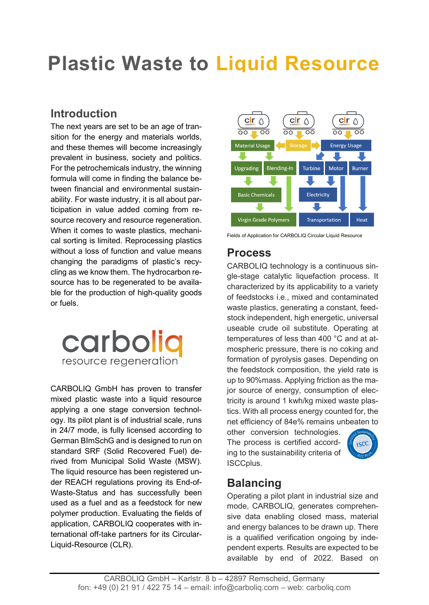# **Plastic Waste to Liquid Resource**

# **Introduction**

The next years are set to be an age of transition for the energy and materials worlds, and these themes will become increasingly prevalent in business, society and politics. For the petrochemicals industry, the winning formula will come in finding the balance between financial and environmental sustainability. For waste industry, it is all about participation in value added coming from resource recovery and resource regeneration. When it comes to waste plastics, mechanical sorting is limited. Reprocessing plastics without a loss of function and value means changing the paradigms of plastic's recycling as we know them. The hydrocarbon resource has to be regenerated to be available for the production of high-quality goods or fuels.



CARBOLIQ GmbH has proven to transfer mixed plastic waste into a liquid resource applying a one stage conversion technology. Its pilot plant is of industrial scale, runs in 24/7 mode, is fully licensed according to German BImSchG and is designed to run on standard SRF (Solid Recovered Fuel) derived from Municipal Solid Waste (MSW). The liquid resource has been registered under REACH regulations proving its End-of-Waste-Status and has successfully been used as a fuel and as a feedstock for new polymer production. Evaluating the fields of application, CARBOLIQ cooperates with international off-take partners for its Circular-Liquid-Resource (CLR).



Fields of Application for CARBOLIQ Circular Liquid Resource

### **Process**

CARBOLIQ technology is a continuous single-stage catalytic liquefaction process. It characterized by its applicability to a variety of feedstocks i.e., mixed and contaminated waste plastics, generating a constant, feedstock independent, high energetic, universal useable crude oil substitute. Operating at temperatures of less than 400 °C and at atmospheric pressure, there is no coking and formation of pyrolysis gases. Depending on the feedstock composition, the yield rate is up to 90%mass. Applying friction as the major source of energy, consumption of electricity is around 1 kwh/kg mixed waste plastics. With all process energy counted for, the net efficiency of 84e% remains unbeaten to

other conversion technologies. The process is certified according to the sustainability criteria of ISCCplus.



# **Balancing**

Operating a pilot plant in industrial size and mode, CARBOLIQ, generates comprehensive data enabling closed mass, material and energy balances to be drawn up. There is a qualified verification ongoing by independent experts. Results are expected to be available by end of 2022. Based on